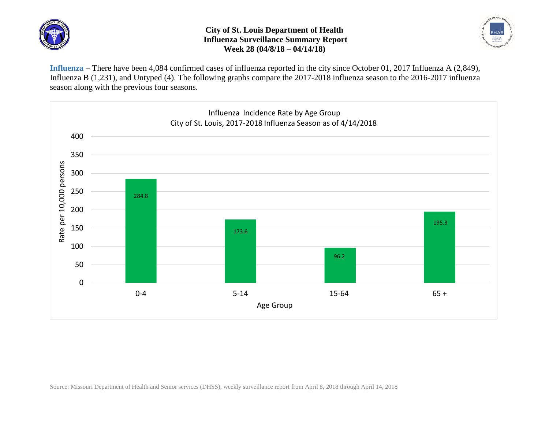

## **City of St. Louis Department of Health Influenza Surveillance Summary Report Week 28 (04/8/18 – 04/14/18)**



**Influenza** – There have been 4,084 confirmed cases of influenza reported in the city since October 01, 2017 Influenza A (2,849), Influenza B (1,231), and Untyped (4). The following graphs compare the 2017-2018 influenza season to the 2016-2017 influenza season along with the previous four seasons.